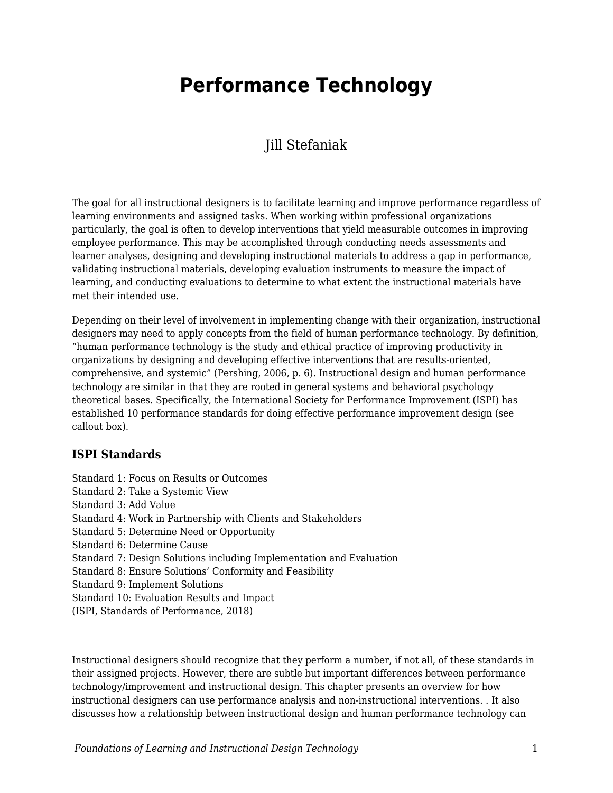# **Performance Technology**

### Jill Stefaniak

The goal for all instructional designers is to facilitate learning and improve performance regardless of learning environments and assigned tasks. When working within professional organizations particularly, the goal is often to develop interventions that yield measurable outcomes in improving employee performance. This may be accomplished through conducting needs assessments and learner analyses, designing and developing instructional materials to address a gap in performance, validating instructional materials, developing evaluation instruments to measure the impact of learning, and conducting evaluations to determine to what extent the instructional materials have met their intended use.

Depending on their level of involvement in implementing change with their organization, instructional designers may need to apply concepts from the field of human performance technology. By definition, "human performance technology is the study and ethical practice of improving productivity in organizations by designing and developing effective interventions that are results-oriented, comprehensive, and systemic" (Pershing, 2006, p. 6). Instructional design and human performance technology are similar in that they are rooted in general systems and behavioral psychology theoretical bases. Specifically, the International Society for Performance Improvement (ISPI) has established 10 performance standards for doing effective performance improvement design (see callout box).

#### **ISPI Standards**

Standard 1: Focus on Results or Outcomes Standard 2: Take a Systemic View Standard 3: Add Value Standard 4: Work in Partnership with Clients and Stakeholders Standard 5: Determine Need or Opportunity Standard 6: Determine Cause Standard 7: Design Solutions including Implementation and Evaluation Standard 8: Ensure Solutions' Conformity and Feasibility Standard 9: Implement Solutions Standard 10: Evaluation Results and Impact (ISPI, Standards of Performance, 2018)

Instructional designers should recognize that they perform a number, if not all, of these standards in their assigned projects. However, there are subtle but important differences between performance technology/improvement and instructional design. This chapter presents an overview for how instructional designers can use performance analysis and non-instructional interventions. . It also discusses how a relationship between instructional design and human performance technology can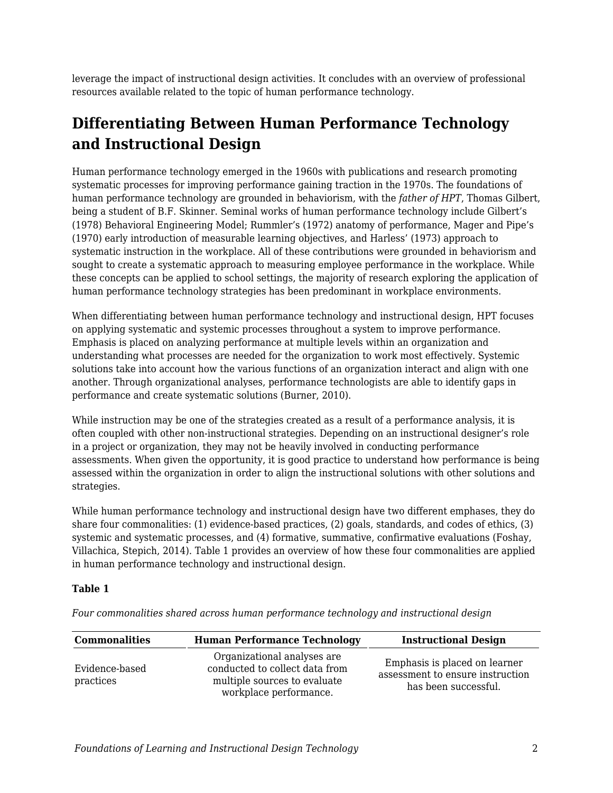leverage the impact of instructional design activities. It concludes with an overview of professional resources available related to the topic of human performance technology.

# **Differentiating Between Human Performance Technology and Instructional Design**

Human performance technology emerged in the 1960s with publications and research promoting systematic processes for improving performance gaining traction in the 1970s. The foundations of human performance technology are grounded in behaviorism, with the *father of HPT*, Thomas Gilbert, being a student of B.F. Skinner. Seminal works of human performance technology include Gilbert's (1978) Behavioral Engineering Model; Rummler's (1972) anatomy of performance, Mager and Pipe's (1970) early introduction of measurable learning objectives, and Harless' (1973) approach to systematic instruction in the workplace. All of these contributions were grounded in behaviorism and sought to create a systematic approach to measuring employee performance in the workplace. While these concepts can be applied to school settings, the majority of research exploring the application of human performance technology strategies has been predominant in workplace environments.

When differentiating between human performance technology and instructional design, HPT focuses on applying systematic and systemic processes throughout a system to improve performance. Emphasis is placed on analyzing performance at multiple levels within an organization and understanding what processes are needed for the organization to work most effectively. Systemic solutions take into account how the various functions of an organization interact and align with one another. Through organizational analyses, performance technologists are able to identify gaps in performance and create systematic solutions (Burner, 2010).

While instruction may be one of the strategies created as a result of a performance analysis, it is often coupled with other non-instructional strategies. Depending on an instructional designer's role in a project or organization, they may not be heavily involved in conducting performance assessments. When given the opportunity, it is good practice to understand how performance is being assessed within the organization in order to align the instructional solutions with other solutions and strategies.

While human performance technology and instructional design have two different emphases, they do share four commonalities: (1) evidence-based practices, (2) goals, standards, and codes of ethics, (3) systemic and systematic processes, and (4) formative, summative, confirmative evaluations (Foshay, Villachica, Stepich, 2014). Table 1 provides an overview of how these four commonalities are applied in human performance technology and instructional design.

#### **Table 1**

| <b>Commonalities</b>        | <b>Human Performance Technology</b>                                                                                     | <b>Instructional Design</b>                                                               |
|-----------------------------|-------------------------------------------------------------------------------------------------------------------------|-------------------------------------------------------------------------------------------|
| Evidence-based<br>practices | Organizational analyses are<br>conducted to collect data from<br>multiple sources to evaluate<br>workplace performance. | Emphasis is placed on learner<br>assessment to ensure instruction<br>has been successful. |

*Four commonalities shared across human performance technology and instructional design*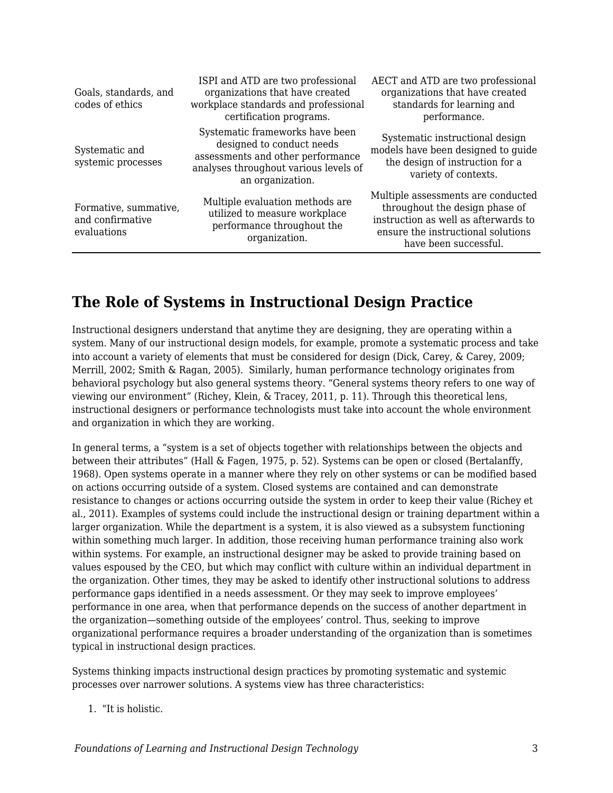| Goals, standards, and<br>codes of ethics                 | ISPI and ATD are two professional<br>organizations that have created<br>workplace standards and professional<br>certification programs.                        | AECT and ATD are two professional<br>organizations that have created<br>standards for learning and<br>performance.                                                          |
|----------------------------------------------------------|----------------------------------------------------------------------------------------------------------------------------------------------------------------|-----------------------------------------------------------------------------------------------------------------------------------------------------------------------------|
| Systematic and<br>systemic processes                     | Systematic frameworks have been<br>designed to conduct needs<br>assessments and other performance<br>analyses throughout various levels of<br>an organization. | Systematic instructional design<br>models have been designed to guide<br>the design of instruction for a<br>variety of contexts.                                            |
| Formative, summative,<br>and confirmative<br>evaluations | Multiple evaluation methods are<br>utilized to measure workplace<br>performance throughout the<br>organization.                                                | Multiple assessments are conducted<br>throughout the design phase of<br>instruction as well as afterwards to<br>ensure the instructional solutions<br>have been successful. |

## **The Role of Systems in Instructional Design Practice**

Instructional designers understand that anytime they are designing, they are operating within a system. Many of our instructional design models, for example, promote a systematic process and take into account a variety of elements that must be considered for design (Dick, Carey, & Carey, 2009; Merrill, 2002; Smith & Ragan, 2005). Similarly, human performance technology originates from behavioral psychology but also general systems theory. "General systems theory refers to one way of viewing our environment" (Richey, Klein, & Tracey, 2011, p. 11). Through this theoretical lens, instructional designers or performance technologists must take into account the whole environment and organization in which they are working.

In general terms, a "system is a set of objects together with relationships between the objects and between their attributes" (Hall & Fagen, 1975, p. 52). Systems can be open or closed (Bertalanffy, 1968). Open systems operate in a manner where they rely on other systems or can be modified based on actions occurring outside of a system. Closed systems are contained and can demonstrate resistance to changes or actions occurring outside the system in order to keep their value (Richey et al., 2011). Examples of systems could include the instructional design or training department within a larger organization. While the department is a system, it is also viewed as a subsystem functioning within something much larger. In addition, those receiving human performance training also work within systems. For example, an instructional designer may be asked to provide training based on values espoused by the CEO, but which may conflict with culture within an individual department in the organization. Other times, they may be asked to identify other instructional solutions to address performance gaps identified in a needs assessment. Or they may seek to improve employees' performance in one area, when that performance depends on the success of another department in the organization—something outside of the employees' control. Thus, seeking to improve organizational performance requires a broader understanding of the organization than is sometimes typical in instructional design practices.

Systems thinking impacts instructional design practices by promoting systematic and systemic processes over narrower solutions. A systems view has three characteristics:

#### 1. "It is holistic.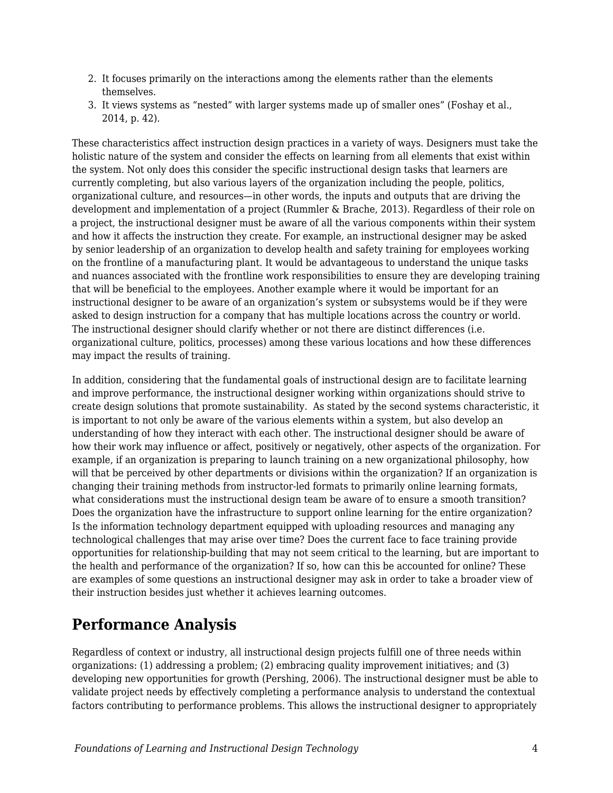- 2. It focuses primarily on the interactions among the elements rather than the elements themselves.
- 3. It views systems as "nested" with larger systems made up of smaller ones" (Foshay et al., 2014, p. 42).

These characteristics affect instruction design practices in a variety of ways. Designers must take the holistic nature of the system and consider the effects on learning from all elements that exist within the system. Not only does this consider the specific instructional design tasks that learners are currently completing, but also various layers of the organization including the people, politics, organizational culture, and resources—in other words, the inputs and outputs that are driving the development and implementation of a project (Rummler & Brache, 2013). Regardless of their role on a project, the instructional designer must be aware of all the various components within their system and how it affects the instruction they create. For example, an instructional designer may be asked by senior leadership of an organization to develop health and safety training for employees working on the frontline of a manufacturing plant. It would be advantageous to understand the unique tasks and nuances associated with the frontline work responsibilities to ensure they are developing training that will be beneficial to the employees. Another example where it would be important for an instructional designer to be aware of an organization's system or subsystems would be if they were asked to design instruction for a company that has multiple locations across the country or world. The instructional designer should clarify whether or not there are distinct differences (i.e. organizational culture, politics, processes) among these various locations and how these differences may impact the results of training.

In addition, considering that the fundamental goals of instructional design are to facilitate learning and improve performance, the instructional designer working within organizations should strive to create design solutions that promote sustainability. As stated by the second systems characteristic, it is important to not only be aware of the various elements within a system, but also develop an understanding of how they interact with each other. The instructional designer should be aware of how their work may influence or affect, positively or negatively, other aspects of the organization. For example, if an organization is preparing to launch training on a new organizational philosophy, how will that be perceived by other departments or divisions within the organization? If an organization is changing their training methods from instructor-led formats to primarily online learning formats, what considerations must the instructional design team be aware of to ensure a smooth transition? Does the organization have the infrastructure to support online learning for the entire organization? Is the information technology department equipped with uploading resources and managing any technological challenges that may arise over time? Does the current face to face training provide opportunities for relationship-building that may not seem critical to the learning, but are important to the health and performance of the organization? If so, how can this be accounted for online? These are examples of some questions an instructional designer may ask in order to take a broader view of their instruction besides just whether it achieves learning outcomes.

# **Performance Analysis**

Regardless of context or industry, all instructional design projects fulfill one of three needs within organizations: (1) addressing a problem; (2) embracing quality improvement initiatives; and (3) developing new opportunities for growth (Pershing, 2006). The instructional designer must be able to validate project needs by effectively completing a performance analysis to understand the contextual factors contributing to performance problems. This allows the instructional designer to appropriately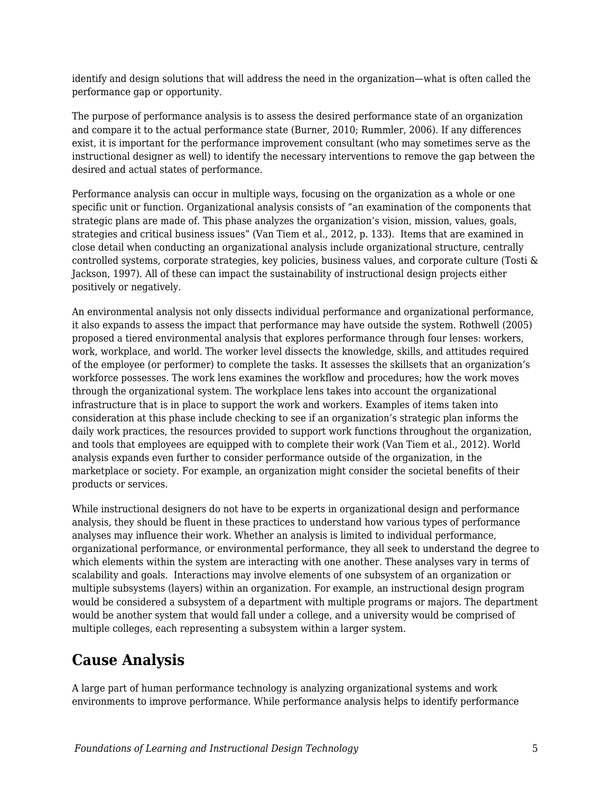identify and design solutions that will address the need in the organization—what is often called the performance gap or opportunity.

The purpose of performance analysis is to assess the desired performance state of an organization and compare it to the actual performance state (Burner, 2010; Rummler, 2006). If any differences exist, it is important for the performance improvement consultant (who may sometimes serve as the instructional designer as well) to identify the necessary interventions to remove the gap between the desired and actual states of performance.

Performance analysis can occur in multiple ways, focusing on the organization as a whole or one specific unit or function. Organizational analysis consists of "an examination of the components that strategic plans are made of. This phase analyzes the organization's vision, mission, values, goals, strategies and critical business issues" (Van Tiem et al., 2012, p. 133). Items that are examined in close detail when conducting an organizational analysis include organizational structure, centrally controlled systems, corporate strategies, key policies, business values, and corporate culture (Tosti & Jackson, 1997). All of these can impact the sustainability of instructional design projects either positively or negatively.

An environmental analysis not only dissects individual performance and organizational performance, it also expands to assess the impact that performance may have outside the system. Rothwell (2005) proposed a tiered environmental analysis that explores performance through four lenses: workers, work, workplace, and world. The worker level dissects the knowledge, skills, and attitudes required of the employee (or performer) to complete the tasks. It assesses the skillsets that an organization's workforce possesses. The work lens examines the workflow and procedures; how the work moves through the organizational system. The workplace lens takes into account the organizational infrastructure that is in place to support the work and workers. Examples of items taken into consideration at this phase include checking to see if an organization's strategic plan informs the daily work practices, the resources provided to support work functions throughout the organization, and tools that employees are equipped with to complete their work (Van Tiem et al., 2012). World analysis expands even further to consider performance outside of the organization, in the marketplace or society. For example, an organization might consider the societal benefits of their products or services.

While instructional designers do not have to be experts in organizational design and performance analysis, they should be fluent in these practices to understand how various types of performance analyses may influence their work. Whether an analysis is limited to individual performance, organizational performance, or environmental performance, they all seek to understand the degree to which elements within the system are interacting with one another. These analyses vary in terms of scalability and goals. Interactions may involve elements of one subsystem of an organization or multiple subsystems (layers) within an organization. For example, an instructional design program would be considered a subsystem of a department with multiple programs or majors. The department would be another system that would fall under a college, and a university would be comprised of multiple colleges, each representing a subsystem within a larger system.

## **Cause Analysis**

A large part of human performance technology is analyzing organizational systems and work environments to improve performance. While performance analysis helps to identify performance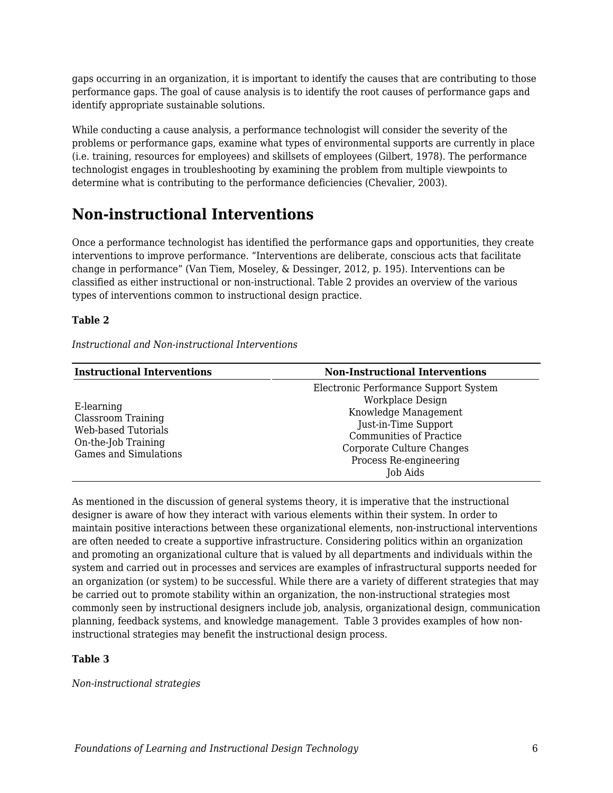gaps occurring in an organization, it is important to identify the causes that are contributing to those performance gaps. The goal of cause analysis is to identify the root causes of performance gaps and identify appropriate sustainable solutions.

While conducting a cause analysis, a performance technologist will consider the severity of the problems or performance gaps, examine what types of environmental supports are currently in place (i.e. training, resources for employees) and skillsets of employees (Gilbert, 1978). The performance technologist engages in troubleshooting by examining the problem from multiple viewpoints to determine what is contributing to the performance deficiencies (Chevalier, 2003).

## **Non-instructional Interventions**

Once a performance technologist has identified the performance gaps and opportunities, they create interventions to improve performance. "Interventions are deliberate, conscious acts that facilitate change in performance" (Van Tiem, Moseley, & Dessinger, 2012, p. 195). Interventions can be classified as either instructional or non-instructional. Table 2 provides an overview of the various types of interventions common to instructional design practice.

#### **Table 2**

*Instructional and Non-instructional Interventions*

| <b>Instructional Interventions</b>                                                                                    | <b>Non-Instructional Interventions</b>                                                                                                                                                                         |
|-----------------------------------------------------------------------------------------------------------------------|----------------------------------------------------------------------------------------------------------------------------------------------------------------------------------------------------------------|
| E-learning<br><b>Classroom Training</b><br>Web-based Tutorials<br>On-the-Job Training<br><b>Games and Simulations</b> | Electronic Performance Support System<br>Workplace Design<br>Knowledge Management<br>Just-in-Time Support<br><b>Communities of Practice</b><br>Corporate Culture Changes<br>Process Re-engineering<br>Job Aids |

As mentioned in the discussion of general systems theory, it is imperative that the instructional designer is aware of how they interact with various elements within their system. In order to maintain positive interactions between these organizational elements, non-instructional interventions are often needed to create a supportive infrastructure. Considering politics within an organization and promoting an organizational culture that is valued by all departments and individuals within the system and carried out in processes and services are examples of infrastructural supports needed for an organization (or system) to be successful. While there are a variety of different strategies that may be carried out to promote stability within an organization, the non-instructional strategies most commonly seen by instructional designers include job, analysis, organizational design, communication planning, feedback systems, and knowledge management. Table 3 provides examples of how noninstructional strategies may benefit the instructional design process.

#### **Table 3**

*Non-instructional strategies*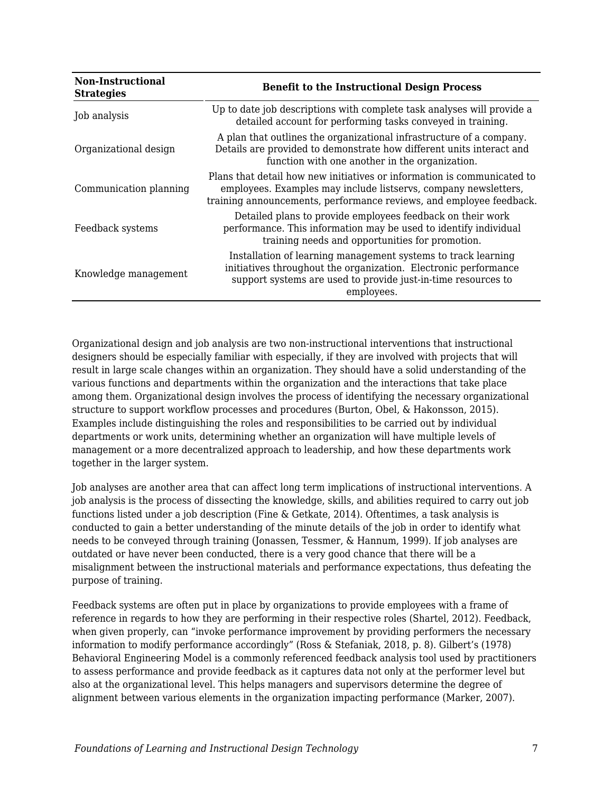| <b>Non-Instructional</b><br><b>Strategies</b> | <b>Benefit to the Instructional Design Process</b>                                                                                                                                                                |
|-----------------------------------------------|-------------------------------------------------------------------------------------------------------------------------------------------------------------------------------------------------------------------|
| Job analysis                                  | Up to date job descriptions with complete task analyses will provide a<br>detailed account for performing tasks conveyed in training.                                                                             |
| Organizational design                         | A plan that outlines the organizational infrastructure of a company.<br>Details are provided to demonstrate how different units interact and<br>function with one another in the organization.                    |
| Communication planning                        | Plans that detail how new initiatives or information is communicated to<br>employees. Examples may include listservs, company newsletters,<br>training announcements, performance reviews, and employee feedback. |
| Feedback systems                              | Detailed plans to provide employees feedback on their work<br>performance. This information may be used to identify individual<br>training needs and opportunities for promotion.                                 |
| Knowledge management                          | Installation of learning management systems to track learning<br>initiatives throughout the organization. Electronic performance<br>support systems are used to provide just-in-time resources to<br>employees.   |

Organizational design and job analysis are two non-instructional interventions that instructional designers should be especially familiar with especially, if they are involved with projects that will result in large scale changes within an organization. They should have a solid understanding of the various functions and departments within the organization and the interactions that take place among them. Organizational design involves the process of identifying the necessary organizational structure to support workflow processes and procedures (Burton, Obel, & Hakonsson, 2015). Examples include distinguishing the roles and responsibilities to be carried out by individual departments or work units, determining whether an organization will have multiple levels of management or a more decentralized approach to leadership, and how these departments work together in the larger system.

Job analyses are another area that can affect long term implications of instructional interventions. A job analysis is the process of dissecting the knowledge, skills, and abilities required to carry out job functions listed under a job description (Fine & Getkate, 2014). Oftentimes, a task analysis is conducted to gain a better understanding of the minute details of the job in order to identify what needs to be conveyed through training (Jonassen, Tessmer, & Hannum, 1999). If job analyses are outdated or have never been conducted, there is a very good chance that there will be a misalignment between the instructional materials and performance expectations, thus defeating the purpose of training.

Feedback systems are often put in place by organizations to provide employees with a frame of reference in regards to how they are performing in their respective roles (Shartel, 2012). Feedback, when given properly, can "invoke performance improvement by providing performers the necessary information to modify performance accordingly" (Ross & Stefaniak, 2018, p. 8). Gilbert's (1978) Behavioral Engineering Model is a commonly referenced feedback analysis tool used by practitioners to assess performance and provide feedback as it captures data not only at the performer level but also at the organizational level. This helps managers and supervisors determine the degree of alignment between various elements in the organization impacting performance (Marker, 2007).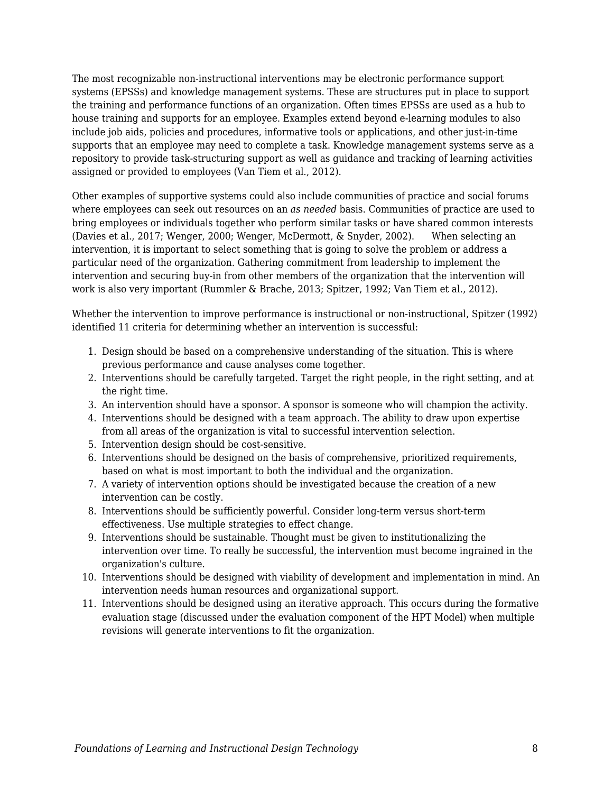The most recognizable non-instructional interventions may be electronic performance support systems (EPSSs) and knowledge management systems. These are structures put in place to support the training and performance functions of an organization. Often times EPSSs are used as a hub to house training and supports for an employee. Examples extend beyond e-learning modules to also include job aids, policies and procedures, informative tools or applications, and other just-in-time supports that an employee may need to complete a task. Knowledge management systems serve as a repository to provide task-structuring support as well as guidance and tracking of learning activities assigned or provided to employees (Van Tiem et al., 2012).

Other examples of supportive systems could also include communities of practice and social forums where employees can seek out resources on an *as needed* basis. Communities of practice are used to bring employees or individuals together who perform similar tasks or have shared common interests (Davies et al., 2017; Wenger, 2000; Wenger, McDermott, & Snyder, 2002). When selecting an intervention, it is important to select something that is going to solve the problem or address a particular need of the organization. Gathering commitment from leadership to implement the intervention and securing buy-in from other members of the organization that the intervention will work is also very important (Rummler & Brache, 2013; Spitzer, 1992; Van Tiem et al., 2012).

Whether the intervention to improve performance is instructional or non-instructional, Spitzer (1992) identified 11 criteria for determining whether an intervention is successful:

- 1. Design should be based on a comprehensive understanding of the situation. This is where previous performance and cause analyses come together.
- 2. Interventions should be carefully targeted. Target the right people, in the right setting, and at the right time.
- 3. An intervention should have a sponsor. A sponsor is someone who will champion the activity.
- 4. Interventions should be designed with a team approach. The ability to draw upon expertise from all areas of the organization is vital to successful intervention selection.
- 5. Intervention design should be cost-sensitive.
- 6. Interventions should be designed on the basis of comprehensive, prioritized requirements, based on what is most important to both the individual and the organization.
- 7. A variety of intervention options should be investigated because the creation of a new intervention can be costly.
- 8. Interventions should be sufficiently powerful. Consider long-term versus short-term effectiveness. Use multiple strategies to effect change.
- 9. Interventions should be sustainable. Thought must be given to institutionalizing the intervention over time. To really be successful, the intervention must become ingrained in the organization's culture.
- 10. Interventions should be designed with viability of development and implementation in mind. An intervention needs human resources and organizational support.
- 11. Interventions should be designed using an iterative approach. This occurs during the formative evaluation stage (discussed under the evaluation component of the HPT Model) when multiple revisions will generate interventions to fit the organization.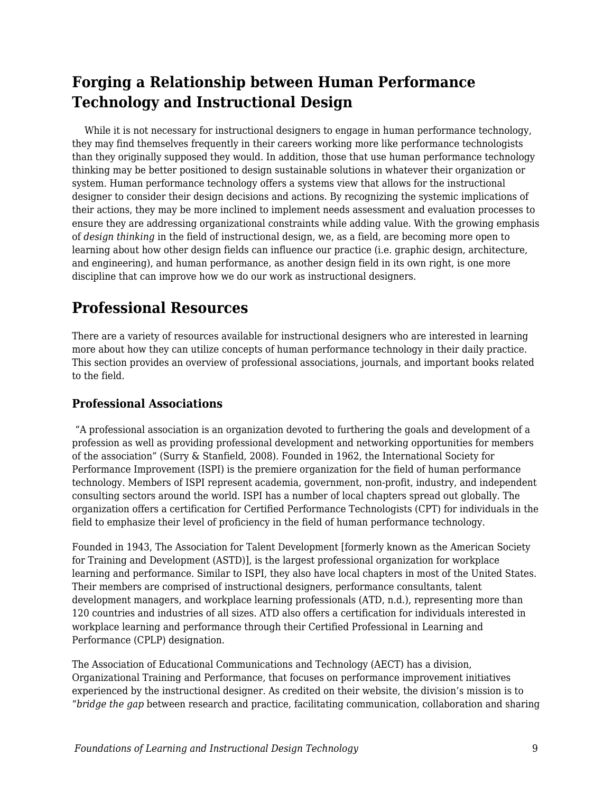# **Forging a Relationship between Human Performance Technology and Instructional Design**

While it is not necessary for instructional designers to engage in human performance technology, they may find themselves frequently in their careers working more like performance technologists than they originally supposed they would. In addition, those that use human performance technology thinking may be better positioned to design sustainable solutions in whatever their organization or system. Human performance technology offers a systems view that allows for the instructional designer to consider their design decisions and actions. By recognizing the systemic implications of their actions, they may be more inclined to implement needs assessment and evaluation processes to ensure they are addressing organizational constraints while adding value. With the growing emphasis of *design thinking* in the field of instructional design, we, as a field, are becoming more open to learning about how other design fields can influence our practice (i.e. graphic design, architecture, and engineering), and human performance, as another design field in its own right, is one more discipline that can improve how we do our work as instructional designers.

### **Professional Resources**

There are a variety of resources available for instructional designers who are interested in learning more about how they can utilize concepts of human performance technology in their daily practice. This section provides an overview of professional associations, journals, and important books related to the field.

### **Professional Associations**

"A professional association is an organization devoted to furthering the goals and development of a profession as well as providing professional development and networking opportunities for members of the association" (Surry & Stanfield, 2008). Founded in 1962, the International Society for Performance Improvement (ISPI) is the premiere organization for the field of human performance technology. Members of ISPI represent academia, government, non-profit, industry, and independent consulting sectors around the world. ISPI has a number of local chapters spread out globally. The organization offers a certification for Certified Performance Technologists (CPT) for individuals in the field to emphasize their level of proficiency in the field of human performance technology.

Founded in 1943, The Association for Talent Development [formerly known as the American Society for Training and Development (ASTD)], is the largest professional organization for workplace learning and performance. Similar to ISPI, they also have local chapters in most of the United States. Their members are comprised of instructional designers, performance consultants, talent development managers, and workplace learning professionals (ATD, n.d.), representing more than 120 countries and industries of all sizes. ATD also offers a certification for individuals interested in workplace learning and performance through their Certified Professional in Learning and Performance (CPLP) designation.

The Association of Educational Communications and Technology (AECT) has a division, Organizational Training and Performance, that focuses on performance improvement initiatives experienced by the instructional designer. As credited on their website, the division's mission is to "*bridge the gap* between research and practice, facilitating communication, collaboration and sharing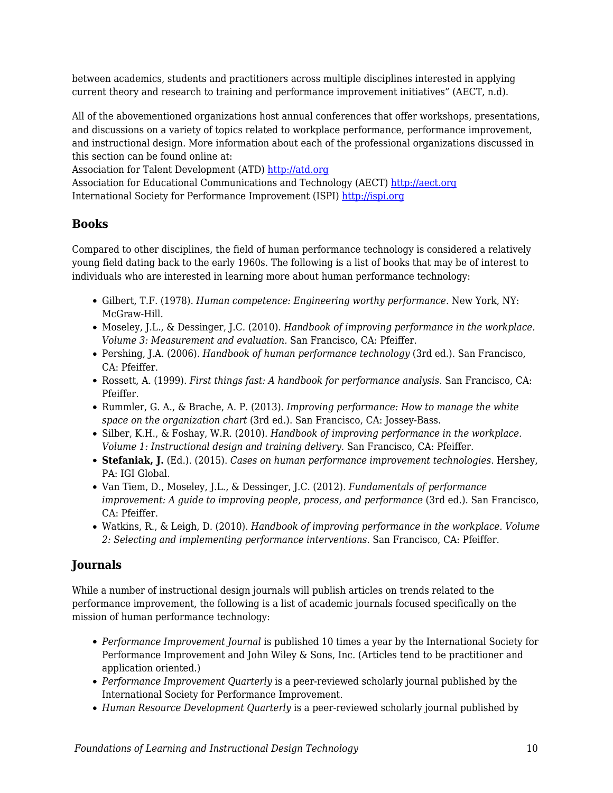between academics, students and practitioners across multiple disciplines interested in applying current theory and research to training and performance improvement initiatives" (AECT, n.d).

All of the abovementioned organizations host annual conferences that offer workshops, presentations, and discussions on a variety of topics related to workplace performance, performance improvement, and instructional design. More information about each of the professional organizations discussed in this section can be found online at:

Association for Talent Development (ATD)<http://atd.org>

Association for Educational Communications and Technology (AECT) [http://aect.org](http://aect.org/) International Society for Performance Improvement (ISPI) [http://ispi.org](http://ispi.org/)

### **Books**

Compared to other disciplines, the field of human performance technology is considered a relatively young field dating back to the early 1960s. The following is a list of books that may be of interest to individuals who are interested in learning more about human performance technology:

- Gilbert, T.F. (1978). *Human competence: Engineering worthy performance.* New York, NY: McGraw-Hill.
- Moseley, J.L., & Dessinger, J.C. (2010). *Handbook of improving performance in the workplace. Volume 3: Measurement and evaluation.* San Francisco, CA: Pfeiffer.
- Pershing, J.A. (2006). *Handbook of human performance technology* (3rd ed.). San Francisco, CA: Pfeiffer.
- Rossett, A. (1999). *First things fast: A handbook for performance analysis*. San Francisco, CA: Pfeiffer.
- Rummler, G. A., & Brache, A. P. (2013). *Improving performance: How to manage the white space on the organization chart* (3rd ed.). San Francisco, CA: Jossey-Bass.
- Silber, K.H., & Foshay, W.R. (2010). *Handbook of improving performance in the workplace. Volume 1: Instructional design and training delivery.* San Francisco, CA: Pfeiffer.
- **Stefaniak, J.** (Ed.). (2015). *Cases on human performance improvement technologies.* Hershey, PA: IGI Global.
- Van Tiem, D., Moseley, J.L., & Dessinger, J.C. (2012). *Fundamentals of performance improvement: A guide to improving people, process, and performance* (3rd ed.). San Francisco, CA: Pfeiffer.
- Watkins, R., & Leigh, D. (2010). *Handbook of improving performance in the workplace. Volume 2: Selecting and implementing performance interventions.* San Francisco, CA: Pfeiffer.

### **Journals**

While a number of instructional design journals will publish articles on trends related to the performance improvement, the following is a list of academic journals focused specifically on the mission of human performance technology:

- *Performance Improvement Journal* is published 10 times a year by the International Society for Performance Improvement and John Wiley & Sons, Inc. (Articles tend to be practitioner and application oriented.)
- *Performance Improvement Quarterly* is a peer-reviewed scholarly journal published by the International Society for Performance Improvement.
- *Human Resource Development Quarterly* is a peer-reviewed scholarly journal published by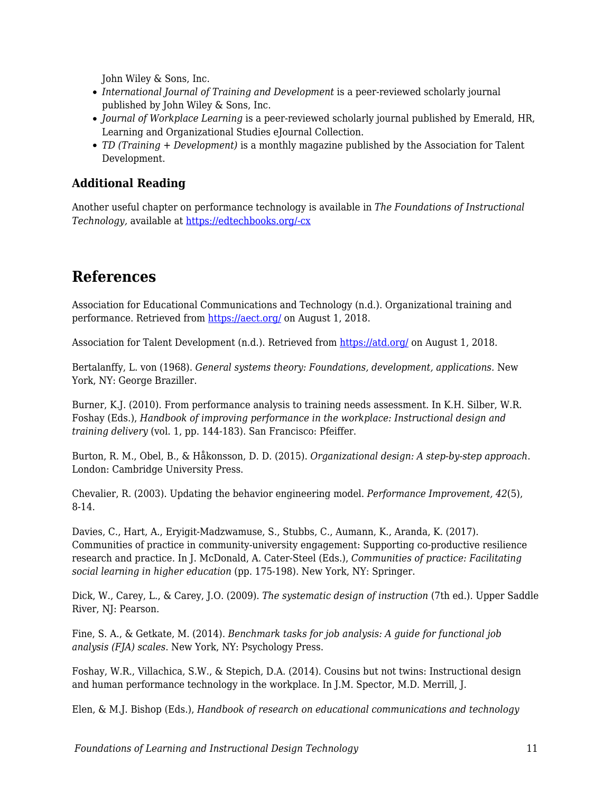John Wiley & Sons, Inc.

- *International Journal of Training and Development* is a peer-reviewed scholarly journal published by John Wiley & Sons, Inc.
- *Journal of Workplace Learning* is a peer-reviewed scholarly journal published by Emerald, HR, Learning and Organizational Studies eJournal Collection.
- *TD (Training + Development)* is a monthly magazine published by the Association for Talent Development.

### **Additional Reading**

Another useful chapter on performance technology is available in *The Foundations of Instructional Technology,* available at [https://edtechbooks.org/-cx](http://projects.coe.uga.edu/itFoundations/)

# **References**

Association for Educational Communications and Technology (n.d.). Organizational training and performance. Retrieved from <https://aect.org/> on August 1, 2018.

Association for Talent Development (n.d.). Retrieved from <https://atd.org/> on August 1, 2018.

Bertalanffy, L. von (1968). *General systems theory: Foundations, development, applications.* New York, NY: George Braziller.

Burner, K.J. (2010). From performance analysis to training needs assessment. In K.H. Silber, W.R. Foshay (Eds.), *Handbook of improving performance in the workplace: Instructional design and training delivery* (vol. 1, pp. 144-183). San Francisco: Pfeiffer.

Burton, R. M., Obel, B., & Håkonsson, D. D. (2015). *Organizational design: A step-by-step approach*. London: Cambridge University Press.

Chevalier, R. (2003). Updating the behavior engineering model. *Performance Improvement, 42*(5), 8-14.

Davies, C., Hart, A., Eryigit-Madzwamuse, S., Stubbs, C., Aumann, K., Aranda, K. (2017). Communities of practice in community-university engagement: Supporting co-productive resilience research and practice. In J. McDonald, A. Cater-Steel (Eds.), *Communities of practice: Facilitating social learning in higher education* (pp. 175-198). New York, NY: Springer.

Dick, W., Carey, L., & Carey, J.O. (2009). *The systematic design of instruction* (7th ed.). Upper Saddle River, NJ: Pearson.

Fine, S. A., & Getkate, M. (2014). *Benchmark tasks for job analysis: A guide for functional job analysis (FJA) scales*. New York, NY: Psychology Press.

Foshay, W.R., Villachica, S.W., & Stepich, D.A. (2014). Cousins but not twins: Instructional design and human performance technology in the workplace. In J.M. Spector, M.D. Merrill, J.

Elen, & M.J. Bishop (Eds.), *Handbook of research on educational communications and technology*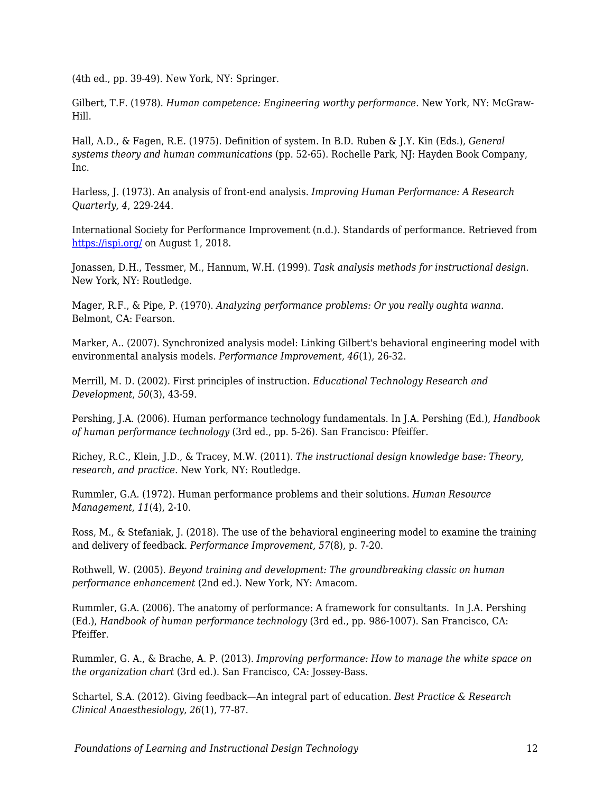(4th ed., pp. 39-49). New York, NY: Springer.

Gilbert, T.F. (1978). *Human competence: Engineering worthy performance.* New York, NY: McGraw-Hill.

Hall, A.D., & Fagen, R.E. (1975). Definition of system. In B.D. Ruben & J.Y. Kin (Eds.), *General systems theory and human communications* (pp. 52-65). Rochelle Park, NJ: Hayden Book Company, Inc.

Harless, J. (1973). An analysis of front-end analysis. *Improving Human Performance: A Research Quarterly, 4*, 229-244.

International Society for Performance Improvement (n.d.). Standards of performance. Retrieved from <https://ispi.org/>on August 1, 2018.

Jonassen, D.H., Tessmer, M., Hannum, W.H. (1999). *Task analysis methods for instructional design.* New York, NY: Routledge.

Mager, R.F., & Pipe, P. (1970). *Analyzing performance problems: Or you really oughta wanna.* Belmont, CA: Fearson.

Marker, A.. (2007). Synchronized analysis model: Linking Gilbert's behavioral engineering model with environmental analysis models. *Performance Improvement, 46*(1), 26-32.

Merrill, M. D. (2002). First principles of instruction. *Educational Technology Research and Development*, *50*(3), 43-59.

Pershing, J.A. (2006). Human performance technology fundamentals. In J.A. Pershing (Ed.), *Handbook of human performance technology* (3rd ed., pp. 5-26). San Francisco: Pfeiffer.

Richey, R.C., Klein, J.D., & Tracey, M.W. (2011). *The instructional design knowledge base: Theory, research, and practice.* New York, NY: Routledge.

Rummler, G.A. (1972). Human performance problems and their solutions. *Human Resource Management, 11*(4), 2-10.

Ross, M., & Stefaniak, J. (2018). The use of the behavioral engineering model to examine the training and delivery of feedback. *Performance Improvement, 57*(8), p. 7-20.

Rothwell, W. (2005). *Beyond training and development: The groundbreaking classic on human performance enhancement* (2nd ed.). New York, NY: Amacom.

Rummler, G.A. (2006). The anatomy of performance: A framework for consultants. In J.A. Pershing (Ed.), *Handbook of human performance technology* (3rd ed., pp. 986-1007). San Francisco, CA: Pfeiffer.

Rummler, G. A., & Brache, A. P. (2013). *Improving performance: How to manage the white space on the organization chart* (3rd ed.). San Francisco, CA: Jossey-Bass.

Schartel, S.A. (2012). Giving feedback—An integral part of education. *Best Practice & Research Clinical Anaesthesiology, 26*(1), 77-87.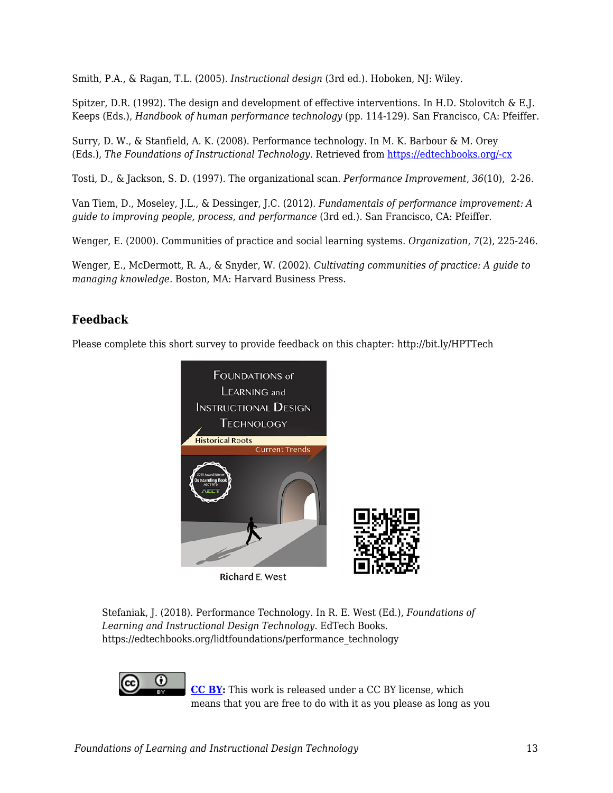Smith, P.A., & Ragan, T.L. (2005). *Instructional design* (3rd ed.). Hoboken, NJ: Wiley.

Spitzer, D.R. (1992). The design and development of effective interventions. In H.D. Stolovitch & E.J. Keeps (Eds.), *Handbook of human performance technology* (pp. 114-129). San Francisco, CA: Pfeiffer.

Surry, D. W., & Stanfield, A. K. (2008). Performance technology. In M. K. Barbour & M. Orey (Eds.), *The Foundations of Instructional Technology*. Retrieved from [https://edtechbooks.org/-cx](http://projects.coe.uga.edu/itFoundations/)

Tosti, D., & Jackson, S. D. (1997). The organizational scan. *Performance Improvement*, *36*(10), 2-26.

Van Tiem, D., Moseley, J.L., & Dessinger, J.C. (2012). *Fundamentals of performance improvement: A guide to improving people, process, and performance* (3rd ed.). San Francisco, CA: Pfeiffer.

Wenger, E. (2000). Communities of practice and social learning systems. *Organization*, *7*(2), 225-246.

Wenger, E., McDermott, R. A., & Snyder, W. (2002). *Cultivating communities of practice: A guide to managing knowledge*. Boston, MA: Harvard Business Press.

### **Feedback**

Please complete this short survey to provide feedback on this chapter: http://bit.ly/HPTTech



Stefaniak, J. (2018). Performance Technology. In R. E. West (Ed.), *Foundations of Learning and Instructional Design Technology*. EdTech Books. https://edtechbooks.org/lidtfoundations/performance\_technology



**[CC BY](https://creativecommons.org/licenses/by/4.0):** This work is released under a CC BY license, which means that you are free to do with it as you please as long as you